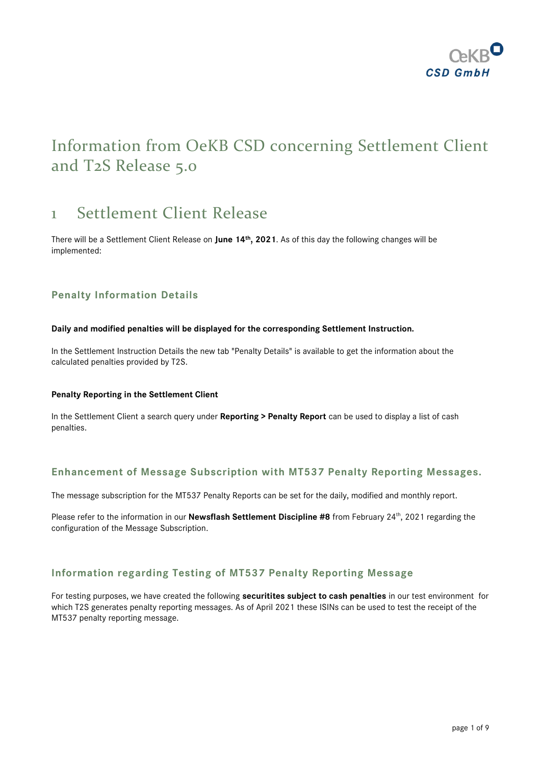

## Information from OeKB CSD concerning Settlement Client and T2S Release 5.0

## 1 Settlement Client Release

There will be a Settlement Client Release on **June 14th, 2021**. As of this day the following changes will be implemented:

## **Penalty Information Details**

#### **Daily and modified penalties will be displayed for the corresponding Settlement Instruction.**

In the Settlement Instruction Details the new tab "Penalty Details" is available to get the information about the calculated penalties provided by T2S.

#### **Penalty Reporting in the Settlement Client**

In the Settlement Client a search query under **Reporting > Penalty Report** can be used to display a list of cash penalties.

### **Enhancement of Message Subscription with MT537 Penalty Reporting Messages.**

The message subscription for the MT537 Penalty Reports can be set for the daily, modified and monthly report.

Please refer to the information in our Newsflash Settlement Discipline #8 from February 24<sup>th</sup>, 2021 regarding the configuration of the Message Subscription.

### **Information regarding Testing of MT537 Penalty Reporting Message**

For testing purposes, we have created the following **securitites subject to cash penalties** in our test environment for which T2S generates penalty reporting messages. As of April 2021 these ISINs can be used to test the receipt of the MT537 penalty reporting message.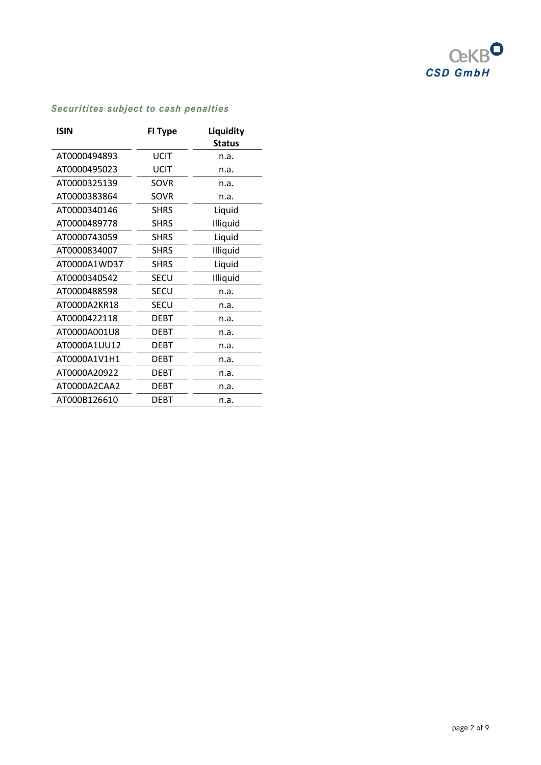

| ISIN         | <b>FI Type</b> | Liquidity<br><b>Status</b> |
|--------------|----------------|----------------------------|
| AT0000494893 | <b>UCIT</b>    | n.a.                       |
| AT0000495023 | UCIT           | n.a.                       |
| AT0000325139 | SOVR           | n.a.                       |
| AT0000383864 | SOVR           | n.a.                       |
| AT0000340146 | <b>SHRS</b>    | Liquid                     |
| AT0000489778 | <b>SHRS</b>    | Illiquid                   |
| AT0000743059 | <b>SHRS</b>    | Liquid                     |
| AT0000834007 | <b>SHRS</b>    | Illiquid                   |
| AT0000A1WD37 | <b>SHRS</b>    | Liquid                     |
| AT0000340542 | SECU           | Illiquid                   |
| AT0000488598 | SECU           | n.a.                       |
| AT0000A2KR18 | <b>SECU</b>    | n.a.                       |
| AT0000422118 | <b>DEBT</b>    | n.a.                       |
| AT0000A001U8 | <b>DEBT</b>    | n.a.                       |
| AT0000A1UU12 | <b>DEBT</b>    | n.a.                       |
| AT0000A1V1H1 | <b>DEBT</b>    | n.a.                       |
| AT0000A20922 | <b>DEBT</b>    | n.a.                       |
| AT0000A2CAA2 | <b>DEBT</b>    | n.a.                       |
| AT000B126610 | DEBT           | n.a.                       |

## *Securitites subject to cash penalties*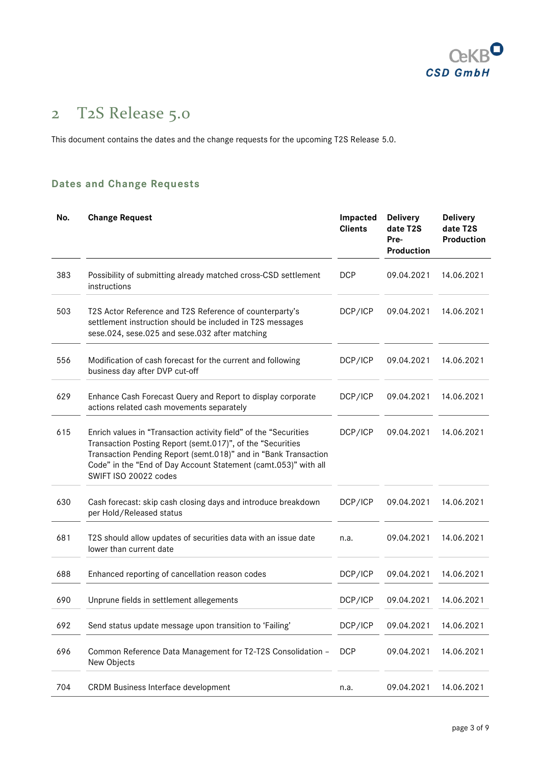

# 2 T2S Release 5.0

This document contains the dates and the change requests for the upcoming T2S Release 5.0.

## **Dates and Change Requests**

| No. | <b>Change Request</b>                                                                                                                                                                                                                                                                         | Impacted<br><b>Clients</b> | <b>Delivery</b><br>date T2S<br>Pre-<br>Production | <b>Delivery</b><br>date T2S<br>Production |
|-----|-----------------------------------------------------------------------------------------------------------------------------------------------------------------------------------------------------------------------------------------------------------------------------------------------|----------------------------|---------------------------------------------------|-------------------------------------------|
| 383 | Possibility of submitting already matched cross-CSD settlement<br>instructions                                                                                                                                                                                                                | <b>DCP</b>                 | 09.04.2021                                        | 14.06.2021                                |
| 503 | T2S Actor Reference and T2S Reference of counterparty's<br>settlement instruction should be included in T2S messages<br>sese.024, sese.025 and sese.032 after matching                                                                                                                        | DCP/ICP                    | 09.04.2021                                        | 14.06.2021                                |
| 556 | Modification of cash forecast for the current and following<br>business day after DVP cut-off                                                                                                                                                                                                 | DCP/ICP                    | 09.04.2021                                        | 14.06.2021                                |
| 629 | Enhance Cash Forecast Query and Report to display corporate<br>actions related cash movements separately                                                                                                                                                                                      | DCP/ICP                    | 09.04.2021                                        | 14.06.2021                                |
| 615 | Enrich values in "Transaction activity field" of the "Securities<br>Transaction Posting Report (semt.017)", of the "Securities<br>Transaction Pending Report (semt.018)" and in "Bank Transaction<br>Code" in the "End of Day Account Statement (camt.053)" with all<br>SWIFT ISO 20022 codes | DCP/ICP                    | 09.04.2021                                        | 14.06.2021                                |
| 630 | Cash forecast: skip cash closing days and introduce breakdown<br>per Hold/Released status                                                                                                                                                                                                     | DCP/ICP                    | 09.04.2021                                        | 14.06.2021                                |
| 681 | T2S should allow updates of securities data with an issue date<br>lower than current date                                                                                                                                                                                                     | n.a.                       | 09.04.2021                                        | 14.06.2021                                |
| 688 | Enhanced reporting of cancellation reason codes                                                                                                                                                                                                                                               | DCP/ICP                    | 09.04.2021                                        | 14.06.2021                                |
| 690 | Unprune fields in settlement allegements                                                                                                                                                                                                                                                      | DCP/ICP                    | 09.04.2021                                        | 14.06.2021                                |
| 692 | Send status update message upon transition to 'Failing'                                                                                                                                                                                                                                       | DCP/ICP                    | 09.04.2021                                        | 14.06.2021                                |
| 696 | Common Reference Data Management for T2-T2S Consolidation -<br>New Objects                                                                                                                                                                                                                    | <b>DCP</b>                 | 09.04.2021                                        | 14.06.2021                                |
| 704 | CRDM Business Interface development                                                                                                                                                                                                                                                           | n.a.                       | 09.04.2021                                        | 14.06.2021                                |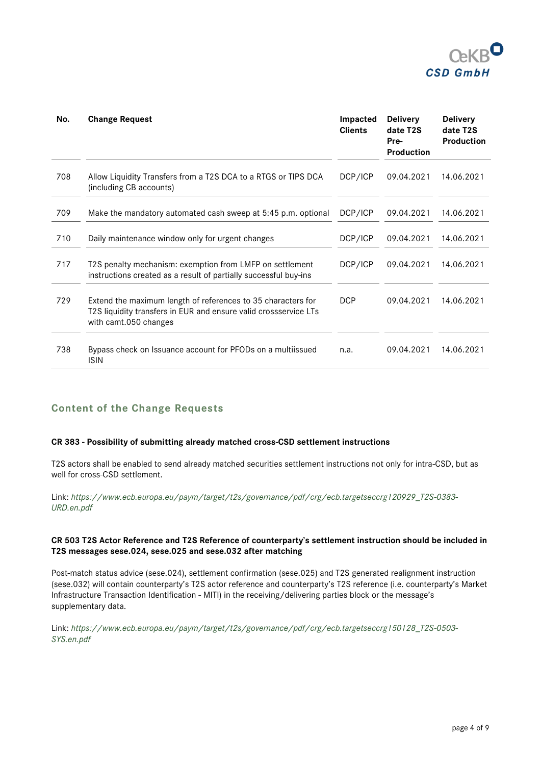

| No. | <b>Change Request</b>                                                                                                                                     | Impacted<br><b>Clients</b> | <b>Delivery</b><br>date T2S<br>Pre-<br><b>Production</b> | <b>Delivery</b><br>date T2S<br><b>Production</b> |
|-----|-----------------------------------------------------------------------------------------------------------------------------------------------------------|----------------------------|----------------------------------------------------------|--------------------------------------------------|
| 708 | Allow Liquidity Transfers from a T2S DCA to a RTGS or TIPS DCA<br>(including CB accounts)                                                                 | DCP/ICP                    | 09.04.2021                                               | 14.06.2021                                       |
| 709 | Make the mandatory automated cash sweep at 5:45 p.m. optional                                                                                             | DCP/ICP                    | 09.04.2021                                               | 14.06.2021                                       |
| 710 | Daily maintenance window only for urgent changes                                                                                                          | DCP/ICP                    | 09.04.2021                                               | 14.06.2021                                       |
| 717 | T2S penalty mechanism: exemption from LMFP on settlement<br>instructions created as a result of partially successful buy-ins                              | DCP/ICP                    | 09.04.2021                                               | 14.06.2021                                       |
| 729 | Extend the maximum length of references to 35 characters for<br>T2S liquidity transfers in EUR and ensure valid crossservice LTs<br>with camt.050 changes | <b>DCP</b>                 | 09.04.2021                                               | 14.06.2021                                       |
| 738 | Bypass check on Issuance account for PFODs on a multiissued<br><b>ISIN</b>                                                                                | n.a.                       | 09.04.2021                                               | 14.06.2021                                       |

## **Content of the Change Requests**

#### **CR 383 - Possibility of submitting already matched cross-CSD settlement instructions**

T2S actors shall be enabled to send already matched securities settlement instructions not only for intra-CSD, but as well for cross-CSD settlement.

Link: *[https://www.ecb.europa.eu/paym/target/t2s/governance/pdf/crg/ecb.targetseccrg120929\\_T2S-0383-](https://www.ecb.europa.eu/paym/target/t2s/governance/pdf/crg/ecb.targetseccrg120929_T2S-0383-URD.en.pdf) [URD.en.pdf](https://www.ecb.europa.eu/paym/target/t2s/governance/pdf/crg/ecb.targetseccrg120929_T2S-0383-URD.en.pdf)*

#### **CR 503 T2S Actor Reference and T2S Reference of counterparty's settlement instruction should be included in T2S messages sese.024, sese.025 and sese.032 after matching**

Post-match status advice (sese.024), settlement confirmation (sese.025) and T2S generated realignment instruction (sese.032) will contain counterparty's T2S actor reference and counterparty's T2S reference (i.e. counterparty's Market Infrastructure Transaction Identification - MITI) in the receiving/delivering parties block or the message's supplementary data.

Link: *[https://www.ecb.europa.eu/paym/target/t2s/governance/pdf/crg/ecb.targetseccrg150128\\_T2S-0503-](https://www.ecb.europa.eu/paym/target/t2s/governance/pdf/crg/ecb.targetseccrg150128_T2S-0503-SYS.en.pdf) [SYS.en.pdf](https://www.ecb.europa.eu/paym/target/t2s/governance/pdf/crg/ecb.targetseccrg150128_T2S-0503-SYS.en.pdf)*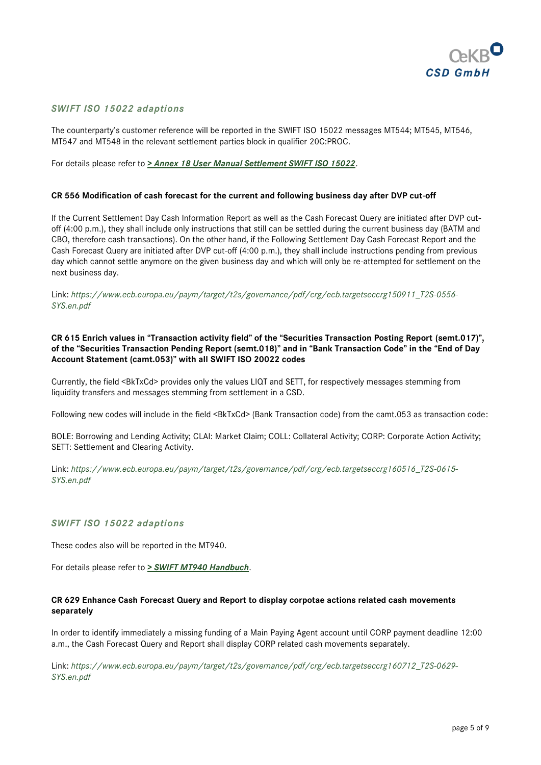

#### *SWIFT ISO 15022 adaptions*

The counterparty's customer reference will be reported in the SWIFT ISO 15022 messages MT544; MT545, MT546, MT547 and MT548 in the relevant settlement parties block in qualifier 20C:PROC.

For details please refer to *[> Annex 18 User Manual Settlement SWIFT ISO 15022](https://www.oekb-csd.at/dam/jcr:1f87b5a6-2399-464a-a2f1-471745dc9762/Annex-18-User-Manual-Settlement-SWIFT-ISO-15022.pdf)*.

#### **CR 556 Modification of cash forecast for the current and following business day after DVP cut-off**

If the Current Settlement Day Cash Information Report as well as the Cash Forecast Query are initiated after DVP cutoff (4:00 p.m.), they shall include only instructions that still can be settled during the current business day (BATM and CBO, therefore cash transactions). On the other hand, if the Following Settlement Day Cash Forecast Report and the Cash Forecast Query are initiated after DVP cut-off (4:00 p.m.), they shall include instructions pending from previous day which cannot settle anymore on the given business day and which will only be re-attempted for settlement on the next business day.

Link: *[https://www.ecb.europa.eu/paym/target/t2s/governance/pdf/crg/ecb.targetseccrg150911\\_T2S-0556-](https://www.ecb.europa.eu/paym/target/t2s/governance/pdf/crg/ecb.targetseccrg150911_T2S-0556-SYS.en.pdf) [SYS.en.pdf](https://www.ecb.europa.eu/paym/target/t2s/governance/pdf/crg/ecb.targetseccrg150911_T2S-0556-SYS.en.pdf)*

#### **CR 615 Enrich values in "Transaction activity field" of the "Securities Transaction Posting Report (semt.017)", of the "Securities Transaction Pending Report (semt.018)" and in "Bank Transaction Code" in the "End of Day Account Statement (camt.053)" with all SWIFT ISO 20022 codes**

Currently, the field <BkTxCd> provides only the values LIQT and SETT, for respectively messages stemming from liquidity transfers and messages stemming from settlement in a CSD.

Following new codes will include in the field <BkTxCd> (Bank Transaction code) from the camt.053 as transaction code:

BOLE: Borrowing and Lending Activity; CLAI: Market Claim; COLL: Collateral Activity; CORP: Corporate Action Activity; SETT: Settlement and Clearing Activity.

Link: *[https://www.ecb.europa.eu/paym/target/t2s/governance/pdf/crg/ecb.targetseccrg160516\\_T2S-0615-](https://www.ecb.europa.eu/paym/target/t2s/governance/pdf/crg/ecb.targetseccrg160516_T2S-0615-SYS.en.pdf) [SYS.en.pdf](https://www.ecb.europa.eu/paym/target/t2s/governance/pdf/crg/ecb.targetseccrg160516_T2S-0615-SYS.en.pdf)*

#### *SWIFT ISO 15022 adaptions*

These codes also will be reported in the MT940.

For details please refer to *> [SWIFT MT940 Handbuch](https://www.oekb-csd.at/dam/jcr:2ec7d3cf-a01f-4512-889c-3f6871d3e3a7/SWIFT-MT940-Handbuch.pdf)*.

#### **CR 629 Enhance Cash Forecast Query and Report to display corpotae actions related cash movements separately**

In order to identify immediately a missing funding of a Main Paying Agent account until CORP payment deadline 12:00 a.m., the Cash Forecast Query and Report shall display CORP related cash movements separately.

Link: *[https://www.ecb.europa.eu/paym/target/t2s/governance/pdf/crg/ecb.targetseccrg160712\\_T2S-0629-](https://www.ecb.europa.eu/paym/target/t2s/governance/pdf/crg/ecb.targetseccrg160712_T2S-0629-SYS.en.pdf) [SYS.en.pdf](https://www.ecb.europa.eu/paym/target/t2s/governance/pdf/crg/ecb.targetseccrg160712_T2S-0629-SYS.en.pdf)*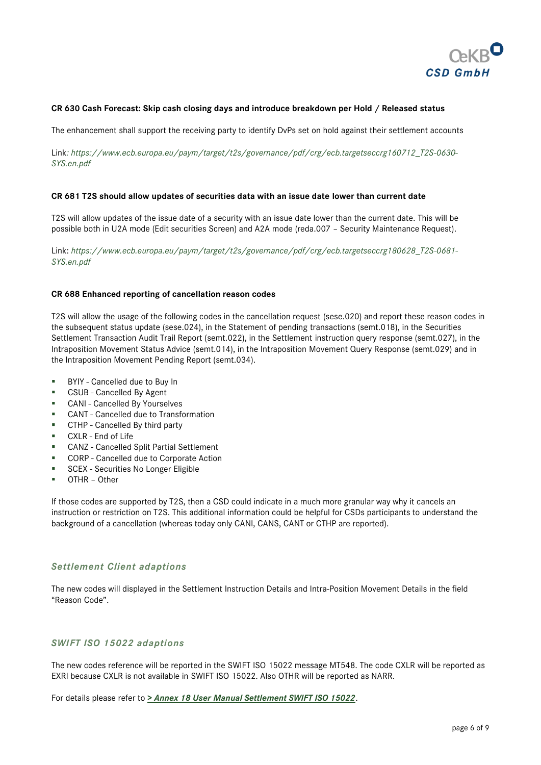

#### **CR 630 Cash Forecast: Skip cash closing days and introduce breakdown per Hold / Released status**

The enhancement shall support the receiving party to identify DvPs set on hold against their settlement accounts

Link*[: https://www.ecb.europa.eu/paym/target/t2s/governance/pdf/crg/ecb.targetseccrg160712\\_T2S-0630-](https://mops.oekb.at/int/geschaeft/it-bereiche/kunden/csd/CCSYS1/Kommunikation%20Banken/Release%20T2S%205.0/:%20https:/www.ecb.europa.eu/paym/target/t2s/governance/pdf/crg/ecb.targetseccrg160712_T2S-0630-SYS.en.pdf) [SYS.en.pdf](https://mops.oekb.at/int/geschaeft/it-bereiche/kunden/csd/CCSYS1/Kommunikation%20Banken/Release%20T2S%205.0/:%20https:/www.ecb.europa.eu/paym/target/t2s/governance/pdf/crg/ecb.targetseccrg160712_T2S-0630-SYS.en.pdf)*

#### **CR 681 T2S should allow updates of securities data with an issue date lower than current date**

T2S will allow updates of the issue date of a security with an issue date lower than the current date. This will be possible both in U2A mode (Edit securities Screen) and A2A mode (reda.007 – Security Maintenance Request).

Link: *[https://www.ecb.europa.eu/paym/target/t2s/governance/pdf/crg/ecb.targetseccrg180628\\_T2S-0681-](https://www.ecb.europa.eu/paym/target/t2s/governance/pdf/crg/ecb.targetseccrg180628_T2S-0681-SYS.en.pdf) [SYS.en.pdf](https://www.ecb.europa.eu/paym/target/t2s/governance/pdf/crg/ecb.targetseccrg180628_T2S-0681-SYS.en.pdf)*

#### **CR 688 Enhanced reporting of cancellation reason codes**

T2S will allow the usage of the following codes in the cancellation request (sese.020) and report these reason codes in the subsequent status update (sese.024), in the Statement of pending transactions (semt.018), in the Securities Settlement Transaction Audit Trail Report (semt.022), in the Settlement instruction query response (semt.027), in the Intraposition Movement Status Advice (semt.014), in the Intraposition Movement Query Response (semt.029) and in the Intraposition Movement Pending Report (semt.034).

- BYIY Cancelled due to Buy In
- CSUB Cancelled By Agent
- CANI Cancelled By Yourselves
- CANT Cancelled due to Transformation
- CTHP Cancelled By third party
- CXLR End of Life
- CANZ Cancelled Split Partial Settlement
- CORP Cancelled due to Corporate Action
- SCEX Securities No Longer Eligible
- OTHR Other

If those codes are supported by T2S, then a CSD could indicate in a much more granular way why it cancels an instruction or restriction on T2S. This additional information could be helpful for CSDs participants to understand the background of a cancellation (whereas today only CANI, CANS, CANT or CTHP are reported).

#### *Settlement Client adaptions*

The new codes will displayed in the Settlement Instruction Details and Intra-Position Movement Details in the field "Reason Code".

#### *SWIFT ISO 15022 adaptions*

The new codes reference will be reported in the SWIFT ISO 15022 message MT548. The code CXLR will be reported as EXRI because CXLR is not available in SWIFT ISO 15022. Also OTHR will be reported as NARR.

For details please refer to *[> Annex 18 User Manual Settlement SWIFT ISO 15022](https://www.oekb-csd.at/dam/jcr:1f87b5a6-2399-464a-a2f1-471745dc9762/Annex-18-User-Manual-Settlement-SWIFT-ISO-15022.pdf)*.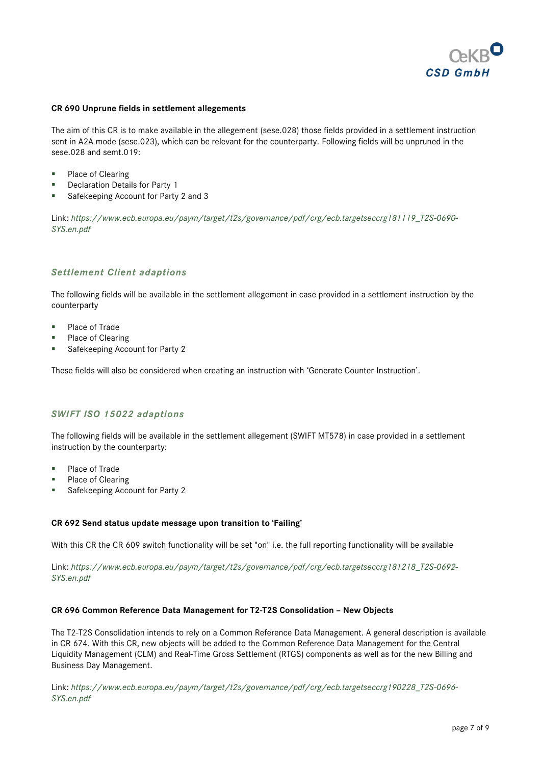

#### **CR 690 Unprune fields in settlement allegements**

The aim of this CR is to make available in the allegement (sese.028) those fields provided in a settlement instruction sent in A2A mode (sese.023), which can be relevant for the counterparty. Following fields will be unpruned in the sese.028 and semt.019:

- Place of Clearing
- **Declaration Details for Party 1**
- Safekeeping Account for Party 2 and 3

Link: *[https://www.ecb.europa.eu/paym/target/t2s/governance/pdf/crg/ecb.targetseccrg181119\\_T2S-0690-](https://www.ecb.europa.eu/paym/target/t2s/governance/pdf/crg/ecb.targetseccrg181119_T2S-0690-SYS.en.pdf) [SYS.en.pdf](https://www.ecb.europa.eu/paym/target/t2s/governance/pdf/crg/ecb.targetseccrg181119_T2S-0690-SYS.en.pdf)*

#### *Settlement Client adaptions*

The following fields will be available in the settlement allegement in case provided in a settlement instruction by the counterparty

- Place of Trade
- Place of Clearing
- Safekeeping Account for Party 2

These fields will also be considered when creating an instruction with 'Generate Counter-Instruction'.

#### *SWIFT ISO 15022 adaptions*

The following fields will be available in the settlement allegement (SWIFT MT578) in case provided in a settlement instruction by the counterparty:

- Place of Trade
- Place of Clearing
- Safekeeping Account for Party 2

#### **CR 692 Send status update message upon transition to 'Failing'**

With this CR the CR 609 switch functionality will be set "on" i.e. the full reporting functionality will be available

Link: *[https://www.ecb.europa.eu/paym/target/t2s/governance/pdf/crg/ecb.targetseccrg181218\\_T2S-0692-](https://www.ecb.europa.eu/paym/target/t2s/governance/pdf/crg/ecb.targetseccrg181218_T2S-0692-SYS.en.pdf) [SYS.en.pdf](https://www.ecb.europa.eu/paym/target/t2s/governance/pdf/crg/ecb.targetseccrg181218_T2S-0692-SYS.en.pdf)*

#### **CR 696 Common Reference Data Management for T2-T2S Consolidation – New Objects**

The T2-T2S Consolidation intends to rely on a Common Reference Data Management. A general description is available in CR 674. With this CR, new objects will be added to the Common Reference Data Management for the Central Liquidity Management (CLM) and Real-Time Gross Settlement (RTGS) components as well as for the new Billing and Business Day Management.

Link: *[https://www.ecb.europa.eu/paym/target/t2s/governance/pdf/crg/ecb.targetseccrg190228\\_T2S-0696-](https://www.ecb.europa.eu/paym/target/t2s/governance/pdf/crg/ecb.targetseccrg190228_T2S-0696-SYS.en.pdf) [SYS.en.pdf](https://www.ecb.europa.eu/paym/target/t2s/governance/pdf/crg/ecb.targetseccrg190228_T2S-0696-SYS.en.pdf)*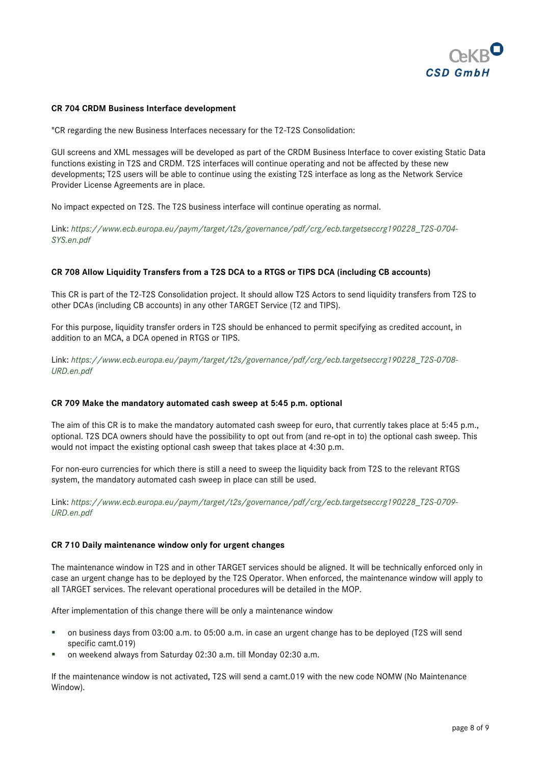

#### **CR 704 CRDM Business Interface development**

"CR regarding the new Business Interfaces necessary for the T2-T2S Consolidation:

GUI screens and XML messages will be developed as part of the CRDM Business Interface to cover existing Static Data functions existing in T2S and CRDM. T2S interfaces will continue operating and not be affected by these new developments; T2S users will be able to continue using the existing T2S interface as long as the Network Service Provider License Agreements are in place.

No impact expected on T2S. The T2S business interface will continue operating as normal.

Link: *[https://www.ecb.europa.eu/paym/target/t2s/governance/pdf/crg/ecb.targetseccrg190228\\_T2S-0704-](https://www.ecb.europa.eu/paym/target/t2s/governance/pdf/crg/ecb.targetseccrg190228_T2S-0704-SYS.en.pdf) [SYS.en.pdf](https://www.ecb.europa.eu/paym/target/t2s/governance/pdf/crg/ecb.targetseccrg190228_T2S-0704-SYS.en.pdf)*

#### **CR 708 Allow Liquidity Transfers from a T2S DCA to a RTGS or TIPS DCA (including CB accounts)**

This CR is part of the T2-T2S Consolidation project. It should allow T2S Actors to send liquidity transfers from T2S to other DCAs (including CB accounts) in any other TARGET Service (T2 and TIPS).

For this purpose, liquidity transfer orders in T2S should be enhanced to permit specifying as credited account, in addition to an MCA, a DCA opened in RTGS or TIPS.

Link: *[https://www.ecb.europa.eu/paym/target/t2s/governance/pdf/crg/ecb.targetseccrg190228\\_T2S-0708-](https://www.ecb.europa.eu/paym/target/t2s/governance/pdf/crg/ecb.targetseccrg190228_T2S-0708-URD.en.pdf) [URD.en.pdf](https://www.ecb.europa.eu/paym/target/t2s/governance/pdf/crg/ecb.targetseccrg190228_T2S-0708-URD.en.pdf)*

#### **CR 709 Make the mandatory automated cash sweep at 5:45 p.m. optional**

The aim of this CR is to make the mandatory automated cash sweep for euro, that currently takes place at 5:45 p.m., optional. T2S DCA owners should have the possibility to opt out from (and re-opt in to) the optional cash sweep. This would not impact the existing optional cash sweep that takes place at 4:30 p.m.

For non-euro currencies for which there is still a need to sweep the liquidity back from T2S to the relevant RTGS system, the mandatory automated cash sweep in place can still be used.

Link: *[https://www.ecb.europa.eu/paym/target/t2s/governance/pdf/crg/ecb.targetseccrg190228\\_T2S-0709-](https://www.ecb.europa.eu/paym/target/t2s/governance/pdf/crg/ecb.targetseccrg190228_T2S-0709-URD.en.pdf) [URD.en.pdf](https://www.ecb.europa.eu/paym/target/t2s/governance/pdf/crg/ecb.targetseccrg190228_T2S-0709-URD.en.pdf)*

#### **CR 710 Daily maintenance window only for urgent changes**

The maintenance window in T2S and in other TARGET services should be aligned. It will be technically enforced only in case an urgent change has to be deployed by the T2S Operator. When enforced, the maintenance window will apply to all TARGET services. The relevant operational procedures will be detailed in the MOP.

After implementation of this change there will be only a maintenance window

- on business days from 03:00 a.m. to 05:00 a.m. in case an urgent change has to be deployed (T2S will send specific camt.019)
- on weekend always from Saturday 02:30 a.m. till Monday 02:30 a.m.

If the maintenance window is not activated, T2S will send a camt.019 with the new code NOMW (No Maintenance Window).